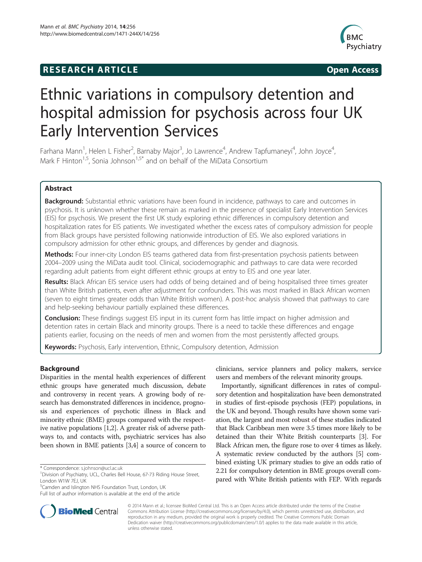## **RESEARCH ARTICLE Example 2014 The SEAR CH ACCESS**



# Ethnic variations in compulsory detention and hospital admission for psychosis across four UK Early Intervention Services

Farhana Mann<sup>1</sup>, Helen L Fisher<sup>2</sup>, Barnaby Major<sup>3</sup>, Jo Lawrence<sup>4</sup>, Andrew Tapfumaneyi<sup>4</sup>, John Joyce<sup>4</sup> , Mark F Hinton<sup>1,5</sup>, Sonia Johnson<sup>1,5\*</sup> and on behalf of the MiData Consortium

## Abstract

Background: Substantial ethnic variations have been found in incidence, pathways to care and outcomes in psychosis. It is unknown whether these remain as marked in the presence of specialist Early Intervention Services (EIS) for psychosis. We present the first UK study exploring ethnic differences in compulsory detention and hospitalization rates for EIS patients. We investigated whether the excess rates of compulsory admission for people from Black groups have persisted following nationwide introduction of EIS. We also explored variations in compulsory admission for other ethnic groups, and differences by gender and diagnosis.

Methods: Four inner-city London EIS teams gathered data from first-presentation psychosis patients between 2004–2009 using the MiData audit tool. Clinical, sociodemographic and pathways to care data were recorded regarding adult patients from eight different ethnic groups at entry to EIS and one year later.

Results: Black African EIS service users had odds of being detained and of being hospitalised three times greater than White British patients, even after adjustment for confounders. This was most marked in Black African women (seven to eight times greater odds than White British women). A post-hoc analysis showed that pathways to care and help-seeking behaviour partially explained these differences.

Conclusion: These findings suggest EIS input in its current form has little impact on higher admission and detention rates in certain Black and minority groups. There is a need to tackle these differences and engage patients earlier, focusing on the needs of men and women from the most persistently affected groups.

Keywords: Psychosis, Early intervention, Ethnic, Compulsory detention, Admission

## Background

Disparities in the mental health experiences of different ethnic groups have generated much discussion, debate and controversy in recent years. A growing body of research has demonstrated differences in incidence, prognosis and experiences of psychotic illness in Black and minority ethnic (BME) groups compared with the respective native populations [[1](#page-10-0),[2](#page-10-0)]. A greater risk of adverse pathways to, and contacts with, psychiatric services has also been shown in BME patients [[3,4](#page-10-0)] a source of concern to



Importantly, significant differences in rates of compulsory detention and hospitalization have been demonstrated in studies of first-episode psychosis (FEP) populations, in the UK and beyond. Though results have shown some variation, the largest and most robust of these studies indicated that Black Caribbean men were 3.5 times more likely to be detained than their White British counterparts [[3\]](#page-10-0). For Black African men, the figure rose to over 4 times as likely. A systematic review conducted by the authors [\[5](#page-10-0)] combined existing UK primary studies to give an odds ratio of 2.21 for compulsory detention in BME groups overall compared with White British patients with FEP. With regards



© 2014 Mann et al.; licensee BioMed Central Ltd. This is an Open Access article distributed under the terms of the Creative Commons Attribution License [\(http://creativecommons.org/licenses/by/4.0\)](http://creativecommons.org/licenses/by/4.0), which permits unrestricted use, distribution, and reproduction in any medium, provided the original work is properly credited. The Creative Commons Public Domain Dedication waiver [\(http://creativecommons.org/publicdomain/zero/1.0/](http://creativecommons.org/publicdomain/zero/1.0/)) applies to the data made available in this article, unless otherwise stated.

<sup>\*</sup> Correspondence: [s.johnson@ucl.ac.uk](mailto:s.johnson@ucl.ac.uk) <sup>1</sup>

<sup>&</sup>lt;sup>1</sup>Division of Psychiatry, UCL, Charles Bell House, 67-73 Riding House Street, London W1W 7EJ, UK

<sup>5</sup> Camden and Islington NHS Foundation Trust, London, UK

Full list of author information is available at the end of the article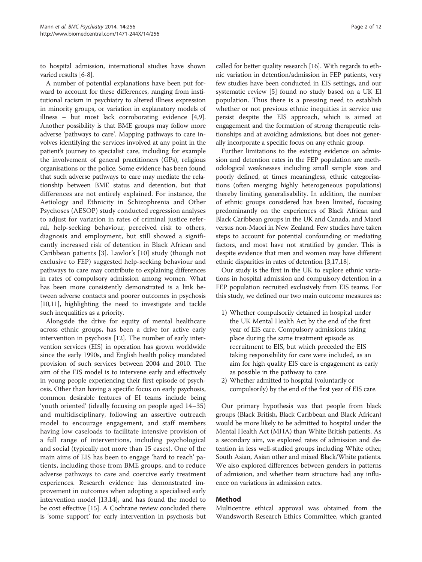to hospital admission, international studies have shown varied results [[6](#page-10-0)-[8\]](#page-11-0).

A number of potential explanations have been put forward to account for these differences, ranging from institutional racism in psychiatry to altered illness expression in minority groups, or variation in explanatory models of illness – but most lack corroborating evidence [[4](#page-10-0),[9](#page-11-0)]. Another possibility is that BME groups may follow more adverse 'pathways to care'. Mapping pathways to care involves identifying the services involved at any point in the patient's journey to specialist care, including for example the involvement of general practitioners (GPs), religious organisations or the police. Some evidence has been found that such adverse pathways to care may mediate the relationship between BME status and detention, but that differences are not entirely explained. For instance, the Aetiology and Ethnicity in Schizophrenia and Other Psychoses (AESOP) study conducted regression analyses to adjust for variation in rates of criminal justice referral, help-seeking behaviour, perceived risk to others, diagnosis and employment, but still showed a significantly increased risk of detention in Black African and Caribbean patients [[3\]](#page-10-0). Lawlor's [[10\]](#page-11-0) study (though not exclusive to FEP) suggested help-seeking behaviour and pathways to care may contribute to explaining differences in rates of compulsory admission among women. What has been more consistently demonstrated is a link between adverse contacts and poorer outcomes in psychosis [[10,11](#page-11-0)], highlighting the need to investigate and tackle such inequalities as a priority.

Alongside the drive for equity of mental healthcare across ethnic groups, has been a drive for active early intervention in psychosis [[12](#page-11-0)]. The number of early intervention services (EIS) in operation has grown worldwide since the early 1990s, and English health policy mandated provision of such services between 2004 and 2010. The aim of the EIS model is to intervene early and effectively in young people experiencing their first episode of psychosis. Other than having a specific focus on early psychosis, common desirable features of EI teams include being 'youth oriented' (ideally focusing on people aged 14–35) and multidisciplinary, following an assertive outreach model to encourage engagement, and staff members having low caseloads to facilitate intensive provision of a full range of interventions, including psychological and social (typically not more than 15 cases). One of the main aims of EIS has been to engage 'hard to reach' patients, including those from BME groups, and to reduce adverse pathways to care and coercive early treatment experiences. Research evidence has demonstrated improvement in outcomes when adopting a specialised early intervention model [\[13,14](#page-11-0)], and has found the model to be cost effective [\[15\]](#page-11-0). A Cochrane review concluded there is 'some support' for early intervention in psychosis but

called for better quality research [\[16\]](#page-11-0). With regards to ethnic variation in detention/admission in FEP patients, very few studies have been conducted in EIS settings, and our systematic review [\[5](#page-10-0)] found no study based on a UK EI population. Thus there is a pressing need to establish whether or not previous ethnic inequities in service use persist despite the EIS approach, which is aimed at engagement and the formation of strong therapeutic relationships and at avoiding admissions, but does not generally incorporate a specific focus on any ethnic group.

Further limitations to the existing evidence on admission and detention rates in the FEP population are methodological weaknesses including small sample sizes and poorly defined, at times meaningless, ethnic categorisations (often merging highly heterogeneous populations) thereby limiting generalisability. In addition, the number of ethnic groups considered has been limited, focusing predominantly on the experiences of Black African and Black Caribbean groups in the UK and Canada, and Maori versus non-Maori in New Zealand. Few studies have taken steps to account for potential confounding or mediating factors, and most have not stratified by gender. This is despite evidence that men and women may have different ethnic disparities in rates of detention [\[3](#page-10-0)[,17,18\]](#page-11-0).

Our study is the first in the UK to explore ethnic variations in hospital admission and compulsory detention in a FEP population recruited exclusively from EIS teams. For this study, we defined our two main outcome measures as:

- 1) Whether compulsorily detained in hospital under the UK Mental Health Act by the end of the first year of EIS care. Compulsory admissions taking place during the same treatment episode as recruitment to EIS, but which preceded the EIS taking responsibility for care were included, as an aim for high quality EIS care is engagement as early as possible in the pathway to care.
- 2) Whether admitted to hospital (voluntarily or compulsorily) by the end of the first year of EIS care.

Our primary hypothesis was that people from black groups (Black British, Black Caribbean and Black African) would be more likely to be admitted to hospital under the Mental Health Act (MHA) than White British patients. As a secondary aim, we explored rates of admission and detention in less well-studied groups including White other, South Asian, Asian other and mixed Black/White patients. We also explored differences between genders in patterns of admission, and whether team structure had any influence on variations in admission rates.

## Method

Multicentre ethical approval was obtained from the Wandsworth Research Ethics Committee, which granted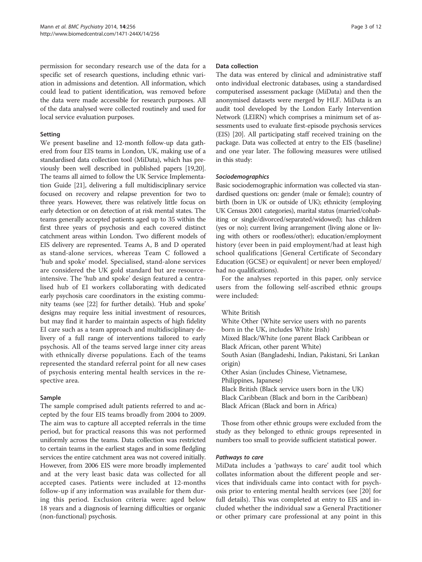permission for secondary research use of the data for a specific set of research questions, including ethnic variation in admissions and detention. All information, which could lead to patient identification, was removed before the data were made accessible for research purposes. All of the data analysed were collected routinely and used for local service evaluation purposes.

#### Setting

We present baseline and 12-month follow-up data gathered from four EIS teams in London, UK, making use of a standardised data collection tool (MiData), which has previously been well described in published papers [\[19,20](#page-11-0)]. The teams all aimed to follow the UK Service Implementation Guide [\[21\]](#page-11-0), delivering a full multidisciplinary service focused on recovery and relapse prevention for two to three years. However, there was relatively little focus on early detection or on detection of at risk mental states. The teams generally accepted patients aged up to 35 within the first three years of psychosis and each covered distinct catchment areas within London. Two different models of EIS delivery are represented. Teams A, B and D operated as stand-alone services, whereas Team C followed a 'hub and spoke' model. Specialised, stand-alone services are considered the UK gold standard but are resourceintensive. The 'hub and spoke' design featured a centralised hub of EI workers collaborating with dedicated early psychosis care coordinators in the existing community teams (see [\[22](#page-11-0)] for further details). 'Hub and spoke' designs may require less initial investment of resources, but may find it harder to maintain aspects of high fidelity EI care such as a team approach and multidisciplinary delivery of a full range of interventions tailored to early psychosis. All of the teams served large inner city areas with ethnically diverse populations. Each of the teams represented the standard referral point for all new cases of psychosis entering mental health services in the respective area.

#### Sample

The sample comprised adult patients referred to and accepted by the four EIS teams broadly from 2004 to 2009. The aim was to capture all accepted referrals in the time period, but for practical reasons this was not performed uniformly across the teams. Data collection was restricted to certain teams in the earliest stages and in some fledgling services the entire catchment area was not covered initially. However, from 2006 EIS were more broadly implemented and at the very least basic data was collected for all accepted cases. Patients were included at 12-months follow-up if any information was available for them during this period. Exclusion criteria were: aged below 18 years and a diagnosis of learning difficulties or organic (non-functional) psychosis.

#### Data collection

The data was entered by clinical and administrative staff onto individual electronic databases, using a standardised computerised assessment package (MiData) and then the anonymised datasets were merged by HLF. MiData is an audit tool developed by the London Early Intervention Network (LEIRN) which comprises a minimum set of assessments used to evaluate first-episode psychosis services (EIS) [\[20\]](#page-11-0). All participating staff received training on the package. Data was collected at entry to the EIS (baseline) and one year later. The following measures were utilised in this study:

#### Sociodemographics

Basic sociodemographic information was collected via standardised questions on: gender (male or female); country of birth (born in UK or outside of UK); ethnicity (employing UK Census 2001 categories), marital status (married/cohabiting or single/divorced/separated/widowed); has children (yes or no); current living arrangement (living alone or living with others or roofless/other); education/employment history (ever been in paid employment/had at least high school qualifications [General Certificate of Secondary Education (GCSE) or equivalent] or never been employed/ had no qualifications).

For the analyses reported in this paper, only service users from the following self-ascribed ethnic groups were included:

#### White British

White Other (White service users with no parents born in the UK, includes White Irish) Mixed Black/White (one parent Black Caribbean or Black African, other parent White) South Asian (Bangladeshi, Indian, Pakistani, Sri Lankan origin) Other Asian (includes Chinese, Vietnamese, Philippines, Japanese) Black British (Black service users born in the UK) Black Caribbean (Black and born in the Caribbean) Black African (Black and born in Africa)

Those from other ethnic groups were excluded from the study as they belonged to ethnic groups represented in numbers too small to provide sufficient statistical power.

#### Pathways to care

MiData includes a 'pathways to care' audit tool which collates information about the different people and services that individuals came into contact with for psychosis prior to entering mental health services (see [[20\]](#page-11-0) for full details). This was completed at entry to EIS and included whether the individual saw a General Practitioner or other primary care professional at any point in this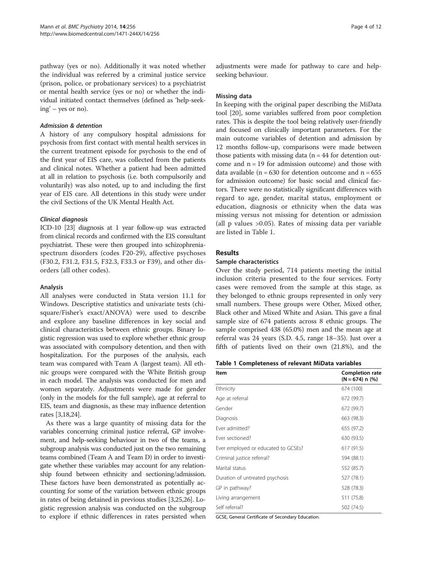pathway (yes or no). Additionally it was noted whether the individual was referred by a criminal justice service (prison, police, or probationary services) to a psychiatrist or mental health service (yes or no) or whether the individual initiated contact themselves (defined as 'help-seeking' – yes or no).

#### Admission & detention

A history of any compulsory hospital admissions for psychosis from first contact with mental health services in the current treatment episode for psychosis to the end of the first year of EIS care, was collected from the patients and clinical notes. Whether a patient had been admitted at all in relation to psychosis (i.e. both compulsorily and voluntarily) was also noted, up to and including the first year of EIS care. All detentions in this study were under the civil Sections of the UK Mental Health Act.

#### Clinical diagnosis

ICD-10 [[23](#page-11-0)] diagnosis at 1 year follow-up was extracted from clinical records and confirmed with the EIS consultant psychiatrist. These were then grouped into schizophreniaspectrum disorders (codes F20-29), affective psychoses (F30.2, F31.2, F31.5, F32.3, F33.3 or F39), and other disorders (all other codes).

#### Analysis

All analyses were conducted in Stata version 11.1 for Windows. Descriptive statistics and univariate tests (chisquare/Fisher's exact/ANOVA) were used to describe and explore any baseline differences in key social and clinical characteristics between ethnic groups. Binary logistic regression was used to explore whether ethnic group was associated with compulsory detention, and then with hospitalization. For the purposes of the analysis, each team was compared with Team A (largest team). All ethnic groups were compared with the White British group in each model. The analysis was conducted for men and women separately. Adjustments were made for gender (only in the models for the full sample), age at referral to EIS, team and diagnosis, as these may influence detention rates [\[3](#page-10-0)[,18,24\]](#page-11-0).

As there was a large quantity of missing data for the variables concerning criminal justice referral, GP involvement, and help-seeking behaviour in two of the teams, a subgroup analysis was conducted just on the two remaining teams combined (Team A and Team D) in order to investigate whether these variables may account for any relationship found between ethnicity and sectioning/admission. These factors have been demonstrated as potentially accounting for some of the variation between ethnic groups in rates of being detained in previous studies [[3](#page-10-0)[,25,26\]](#page-11-0). Logistic regression analysis was conducted on the subgroup to explore if ethnic differences in rates persisted when

adjustments were made for pathway to care and helpseeking behaviour.

#### Missing data

In keeping with the original paper describing the MiData tool [\[20](#page-11-0)], some variables suffered from poor completion rates. This is despite the tool being relatively user-friendly and focused on clinically important parameters. For the main outcome variables of detention and admission by 12 months follow-up, comparisons were made between those patients with missing data ( $n = 44$  for detention outcome and  $n = 19$  for admission outcome) and those with data available ( $n = 630$  for detention outcome and  $n = 655$ for admission outcome) for basic social and clinical factors. There were no statistically significant differences with regard to age, gender, marital status, employment or education, diagnosis or ethnicity when the data was missing versus not missing for detention or admission (all p values >0.05). Rates of missing data per variable are listed in Table 1.

#### **Results**

#### Sample characteristics

Over the study period, 714 patients meeting the initial inclusion criteria presented to the four services. Forty cases were removed from the sample at this stage, as they belonged to ethnic groups represented in only very small numbers. These groups were Other, Mixed other, Black other and Mixed White and Asian. This gave a final sample size of 674 patients across 8 ethnic groups. The sample comprised 438 (65.0%) men and the mean age at referral was 24 years (S.D. 4.5, range 18–35). Just over a fifth of patients lived on their own (21.8%), and the

| Table 1 Completeness of relevant MiData variables |  |  |  |
|---------------------------------------------------|--|--|--|
|---------------------------------------------------|--|--|--|

| Item                                | Completion rate<br>$(N = 674)$ n $(\%)$ |
|-------------------------------------|-----------------------------------------|
| Ethnicity                           | 674 (100)                               |
| Age at referral                     | 672 (99.7)                              |
| Gender                              | 672 (99.7)                              |
| Diagnosis                           | 663 (98.3)                              |
| Fver admitted?                      | 655 (97.2)                              |
| Ever sectioned?                     | 630 (93.5)                              |
| Ever employed or educated to GCSEs? | 617 (91.5)                              |
| Criminal justice referral?          | 594 (88.1)                              |
| Marital status                      | 552 (85.7)                              |
| Duration of untreated psychosis     | 527 (78.1)                              |
| GP in pathway?                      | 528 (78.3)                              |
| Living arrangement                  | 511 (75.8)                              |
| Self referral?                      | 502 (74.5)                              |

GCSE, General Certificate of Secondary Education.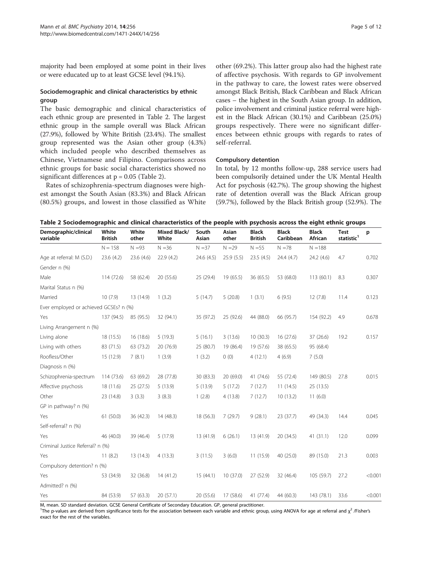<span id="page-4-0"></span>majority had been employed at some point in their lives or were educated up to at least GCSE level (94.1%).

## Sociodemographic and clinical characteristics by ethnic group

The basic demographic and clinical characteristics of each ethnic group are presented in Table 2. The largest ethnic group in the sample overall was Black African (27.9%), followed by White British (23.4%). The smallest group represented was the Asian other group (4.3%) which included people who described themselves as Chinese, Vietnamese and Filipino. Comparisons across ethnic groups for basic social characteristics showed no significant differences at  $p = 0.05$  (Table 2).

Rates of schizophrenia-spectrum diagnoses were highest amongst the South Asian (83.3%) and Black African (80.5%) groups, and lowest in those classified as White

other (69.2%). This latter group also had the highest rate of affective psychosis. With regards to GP involvement in the pathway to care, the lowest rates were observed amongst Black British, Black Caribbean and Black African cases – the highest in the South Asian group. In addition, police involvement and criminal justice referral were highest in the Black African (30.1%) and Caribbean (25.0%) groups respectively. There were no significant differences between ethnic groups with regards to rates of self-referral.

#### Compulsory detention

In total, by 12 months follow-up, 288 service users had been compulsorily detained under the UK Mental Health Act for psychosis (42.7%). The group showing the highest rate of detention overall was the Black African group (59.7%), followed by the Black British group (52.9%). The

| Table 2 Sociodemographic and clinical characteristics of the people with psychosis across the eight ethnic groups |  |  |
|-------------------------------------------------------------------------------------------------------------------|--|--|
|-------------------------------------------------------------------------------------------------------------------|--|--|

| Demographic/clinical<br>variable       | White<br><b>British</b> | White<br>other | Mixed Black/<br>White | South<br>Asian | Asian<br>other | Black<br><b>British</b> | <b>Black</b><br>Caribbean | Black<br>African | Test<br>statistic <sup>1</sup> | p       |
|----------------------------------------|-------------------------|----------------|-----------------------|----------------|----------------|-------------------------|---------------------------|------------------|--------------------------------|---------|
|                                        | $N = 158$               | $N = 93$       | $N = 36$              | $N = 37$       | $N = 29$       | $N = 55$                | $N = 78$                  | $N = 188$        |                                |         |
| Age at referral: M (S.D.)              | 23.6(4.2)               | 23.6(4.6)      | 22.9(4.2)             | 24.6 (4.5)     | 25.9(5.5)      | 23.5(4.5)               | 24.4(4.7)                 | 24.2(4.6)        | 4.7                            | 0.702   |
| Gender n (%)                           |                         |                |                       |                |                |                         |                           |                  |                                |         |
| Male                                   | 114 (72.6)              | 58 (62.4)      | 20 (55.6)             | 25 (29.4)      | 19 (65.5)      | 36 (65.5)               | 53 (68.0)                 | 113 (60.1)       | 8.3                            | 0.307   |
| Marital Status n (%)                   |                         |                |                       |                |                |                         |                           |                  |                                |         |
| Married                                | 10(7.9)                 | 13 (14.9)      | 1(3.2)                | 5(14.7)        | 5(20.8)        | 1(3.1)                  | 6(9.5)                    | 12(7.8)          | 11.4                           | 0.123   |
| Ever employed or achieved GCSEs? n (%) |                         |                |                       |                |                |                         |                           |                  |                                |         |
| Yes                                    | 137 (94.5)              | 85 (95.5)      | 32 (94.1)             | 35 (97.2)      | 25 (92.6)      | 44 (88.0)               | 66 (95.7)                 | 154 (92.2)       | 4.9                            | 0.678   |
| Living Arrangement n (%)               |                         |                |                       |                |                |                         |                           |                  |                                |         |
| Living alone                           | 18(15.5)                | 16 (18.6)      | 5(19.3)               | 5(16.1)        | 3(13.6)        | 10(30.3)                | 16(27.6)                  | 37(26.6)         | 19.2                           | 0.157   |
| Living with others                     | 83 (71.5)               | 63 (73.2)      | 20 (76.9)             | 25 (80.7)      | 19 (86.4)      | 19 (57.6)               | 38 (65.5)                 | 95 (68.4)        |                                |         |
| Roofless/Other                         | 15 (12.9)               | 7(8.1)         | 1(3.9)                | 1(3.2)         | 0(0)           | 4(12.1)                 | 4(6.9)                    | 7(5.0)           |                                |         |
| Diagnosis n (%)                        |                         |                |                       |                |                |                         |                           |                  |                                |         |
| Schizophrenia-spectrum                 | 114 (73.6)              | 63 (69.2)      | 28 (77.8)             | 30 (83.3)      | 20(69.0)       | 41 (74.6)               | 55 (72.4)                 | 149 (80.5)       | 27.8                           | 0.015   |
| Affective psychosis                    | 18(11.6)                | 25(27.5)       | 5(13.9)               | 5(13.9)        | 5(17.2)        | 7(12.7)                 | 11(14.5)                  | 25(13.5)         |                                |         |
| Other                                  | 23 (14.8)               | 3(3.3)         | 3(8.3)                | 1(2.8)         | 4(13.8)        | 7(12.7)                 | 10(13.2)                  | 11(6.0)          |                                |         |
| GP in pathway? n (%)                   |                         |                |                       |                |                |                         |                           |                  |                                |         |
| Yes                                    | 61(50.0)                | 36 (42.3)      | 14(48.3)              | 18 (56.3)      | 7(29.7)        | 9(28.1)                 | 23 (37.7)                 | 49 (34.3)        | 14.4                           | 0.045   |
| Self-referral? n (%)                   |                         |                |                       |                |                |                         |                           |                  |                                |         |
| Yes                                    | 46 (40.0)               | 39 (46.4)      | 5(17.9)               | 13 (41.9)      | 6(26.1)        | 13 (41.9)               | 20 (34.5)                 | 41 (31.1)        | 12.0                           | 0.099   |
| Criminal Justice Referral? n (%)       |                         |                |                       |                |                |                         |                           |                  |                                |         |
| Yes                                    | 11(8.2)                 | 13(14.3)       | 4(13.3)               | 3(11.5)        | 3(6.0)         | 11(15.9)                | 40 (25.0)                 | 89 (15.0)        | 21.3                           | 0.003   |
| Compulsory detention? n (%)            |                         |                |                       |                |                |                         |                           |                  |                                |         |
| Yes                                    | 53 (34.9)               | 32 (36.8)      | 14(41.2)              | 15(44.1)       | 10(37.0)       | 27 (52.9)               | 32 (46.4)                 | 105 (59.7)       | 27.2                           | < 0.001 |
| Admitted? n (%)                        |                         |                |                       |                |                |                         |                           |                  |                                |         |
| Yes                                    | 84 (53.9)               | 57 (63.3)      | 20 (57.1)             | 20 (55.6)      | 17 (58.6)      | 41 (77.4)               | 44 (60.3)                 | 143 (78.1)       | 33.6                           | < 0.001 |

M, mean. SD standard deviation. GCSE General Certificate of Secondary Education. GP, general practitioner.

<sup>1</sup>The p-values are derived from significance tests for the association between each variable and ethnic group, using ANOVA for age at referral and  $\chi^2$  /Fisher's exact for the rest of the variables.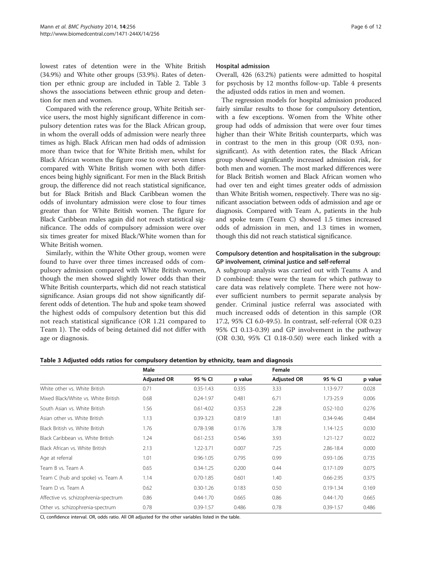lowest rates of detention were in the White British (34.9%) and White other groups (53.9%). Rates of detention per ethnic group are included in Table [2.](#page-4-0) Table 3 shows the associations between ethnic group and detention for men and women.

Compared with the reference group, White British service users, the most highly significant difference in compulsory detention rates was for the Black African group, in whom the overall odds of admission were nearly three times as high. Black African men had odds of admission more than twice that for White British men, whilst for Black African women the figure rose to over seven times compared with White British women with both differences being highly significant. For men in the Black British group, the difference did not reach statistical significance, but for Black British and Black Caribbean women the odds of involuntary admission were close to four times greater than for White British women. The figure for Black Caribbean males again did not reach statistical significance. The odds of compulsory admission were over six times greater for mixed Black/White women than for White British women.

Similarly, within the White Other group, women were found to have over three times increased odds of compulsory admission compared with White British women, though the men showed slightly lower odds than their White British counterparts, which did not reach statistical significance. Asian groups did not show significantly different odds of detention. The hub and spoke team showed the highest odds of compulsory detention but this did not reach statistical significance (OR 1.21 compared to Team 1). The odds of being detained did not differ with age or diagnosis.

#### Hospital admission

Overall, 426 (63.2%) patients were admitted to hospital for psychosis by 12 months follow-up. Table [4](#page-6-0) presents the adjusted odds ratios in men and women.

The regression models for hospital admission produced fairly similar results to those for compulsory detention, with a few exceptions. Women from the White other group had odds of admission that were over four times higher than their White British counterparts, which was in contrast to the men in this group (OR 0.93, nonsignificant). As with detention rates, the Black African group showed significantly increased admission risk, for both men and women. The most marked differences were for Black British women and Black African women who had over ten and eight times greater odds of admission than White British women, respectively. There was no significant association between odds of admission and age or diagnosis. Compared with Team A, patients in the hub and spoke team (Team C) showed 1.5 times increased odds of admission in men, and 1.3 times in women, though this did not reach statistical significance.

## Compulsory detention and hospitalisation in the subgroup: GP involvement, criminal justice and self-referral

A subgroup analysis was carried out with Teams A and D combined: these were the team for which pathway to care data was relatively complete. There were not however sufficient numbers to permit separate analysis by gender. Criminal justice referral was associated with much increased odds of detention in this sample (OR 17.2, 95% CI 6.0-49.5). In contrast, self-referral (OR 0.23 95% CI 0.13-0.39) and GP involvement in the pathway (OR 0.30, 95% CI 0.18-0.50) were each linked with a

|                                      | Male               |               |         | Female             |               |         |
|--------------------------------------|--------------------|---------------|---------|--------------------|---------------|---------|
|                                      | <b>Adjusted OR</b> | 95 % CI       | p value | <b>Adjusted OR</b> | 95 % CI       | p value |
| White other vs. White British        | 0.71               | $0.35 - 1.43$ | 0.335   | 3.33               | 1.13-9.77     | 0.028   |
| Mixed Black/White vs. White British  | 0.68               | $0.24 - 1.97$ | 0.481   | 6.71               | 1.73-25.9     | 0.006   |
| South Asian vs. White British        | 1.56               | $0.61 - 4.02$ | 0.353   | 2.28               | $0.52 - 10.0$ | 0.276   |
| Asian other vs. White British        | 1.13               | $0.39 - 3.23$ | 0.819   | 1.81               | $0.34 - 9.46$ | 0.484   |
| Black British vs. White British      | 1.76               | $0.78 - 3.98$ | 0.176   | 3.78               | 1.14-12.5     | 0.030   |
| Black Caribbean vs. White British    | 1.24               | $0.61 - 2.53$ | 0.546   | 3.93               | $1.21 - 12.7$ | 0.022   |
| Black African vs. White British      | 2.13               | 1.22-3.71     | 0.007   | 7.25               | 2.86-18.4     | 0.000   |
| Age at referral                      | 1.01               | $0.96 - 1.05$ | 0.795   | 0.99               | $0.93 - 1.06$ | 0.735   |
| Team B vs. Team A                    | 0.65               | $0.34 - 1.25$ | 0.200   | 0.44               | $0.17 - 1.09$ | 0.075   |
| Team C (hub and spoke) vs. Team A    | 1.14               | $0.70 - 1.85$ | 0.601   | 1.40               | $0.66 - 2.95$ | 0.375   |
| Team D vs. Team A                    | 0.62               | $0.30 - 1.26$ | 0.183   | 0.50               | $0.19 - 1.34$ | 0.169   |
| Affective vs. schizophrenia-spectrum | 0.86               | $0.44 - 1.70$ | 0.665   | 0.86               | $0.44 - 1.70$ | 0.665   |
| Other vs. schizophrenia-spectrum     | 0.78               | $0.39 - 1.57$ | 0.486   | 0.78               | $0.39 - 1.57$ | 0.486   |

Table 3 Adjusted odds ratios for compulsory detention by ethnicity, team and diagnosis

CI, confidence interval. OR, odds ratio. All OR adjusted for the other variables listed in the table.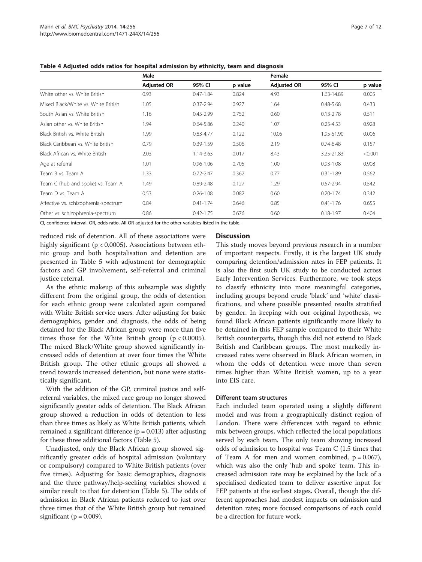|                                      | Male               |               |         | Female             |               |         |
|--------------------------------------|--------------------|---------------|---------|--------------------|---------------|---------|
|                                      | <b>Adjusted OR</b> | 95% CI        | p value | <b>Adjusted OR</b> | 95% CI        | p value |
| White other vs. White British        | 0.93               | $0.47 - 1.84$ | 0.824   | 4.93               | 1.63-14.89    | 0.005   |
| Mixed Black/White vs. White British  | 1.05               | $0.37 - 2.94$ | 0.927   | 1.64               | 0.48-5.68     | 0.433   |
| South Asian vs. White British        | 1.16               | $0.45 - 2.99$ | 0.752   | 0.60               | $0.13 - 2.78$ | 0.511   |
| Asian other vs. White British        | 1.94               | $0.64 - 5.86$ | 0.240   | 1.07               | $0.25 - 4.53$ | 0.928   |
| Black British vs. White British      | 1.99               | $0.83 - 4.77$ | 0.122   | 10.05              | 1.95-51.90    | 0.006   |
| Black Caribbean vs. White British    | 0.79               | $0.39 - 1.59$ | 0.506   | 2.19               | $0.74 - 6.48$ | 0.157   |
| Black African vs. White British      | 2.03               | 1.14-3.63     | 0.017   | 8.43               | 3.25-21.83    | < 0.001 |
| Age at referral                      | 1.01               | $0.96 - 1.06$ | 0.705   | 1.00               | $0.93 - 1.08$ | 0.908   |
| Team B vs. Team A                    | 1.33               | $0.72 - 2.47$ | 0.362   | 0.77               | $0.31 - 1.89$ | 0.562   |
| Team C (hub and spoke) vs. Team A    | 1.49               | $0.89 - 2.48$ | 0.127   | 1.29               | $0.57 - 2.94$ | 0.542   |
| Team D vs. Team A                    | 0.53               | $0.26 - 1.08$ | 0.082   | 0.60               | $0.20 - 1.74$ | 0.342   |
| Affective vs. schizophrenia-spectrum | 0.84               | $0.41 - 1.74$ | 0.646   | 0.85               | $0.41 - 1.76$ | 0.655   |
| Other vs. schizophrenia-spectrum     | 0.86               | $0.42 - 1.75$ | 0.676   | 0.60               | $0.18 - 1.97$ | 0.404   |

<span id="page-6-0"></span>Table 4 Adjusted odds ratios for hospital admission by ethnicity, team and diagnosis

CI, confidence interval. OR, odds ratio. All OR adjusted for the other variables listed in the table.

reduced risk of detention. All of these associations were highly significant (p < 0.0005). Associations between ethnic group and both hospitalisation and detention are presented in Table [5](#page-7-0) with adjustment for demographic factors and GP involvement, self-referral and criminal justice referral.

As the ethnic makeup of this subsample was slightly different from the original group, the odds of detention for each ethnic group were calculated again compared with White British service users. After adjusting for basic demographics, gender and diagnosis, the odds of being detained for the Black African group were more than five times those for the White British group  $(p < 0.0005)$ . The mixed Black/White group showed significantly increased odds of detention at over four times the White British group. The other ethnic groups all showed a trend towards increased detention, but none were statistically significant.

With the addition of the GP, criminal justice and selfreferral variables, the mixed race group no longer showed significantly greater odds of detention. The Black African group showed a reduction in odds of detention to less than three times as likely as White British patients, which remained a significant difference ( $p = 0.013$ ) after adjusting for these three additional factors (Table [5](#page-7-0)).

Unadjusted, only the Black African group showed significantly greater odds of hospital admission (voluntary or compulsory) compared to White British patients (over five times). Adjusting for basic demographics, diagnosis and the three pathway/help-seeking variables showed a similar result to that for detention (Table [5](#page-7-0)). The odds of admission in Black African patients reduced to just over three times that of the White British group but remained significant ( $p = 0.009$ ).

## **Discussion**

This study moves beyond previous research in a number of important respects. Firstly, it is the largest UK study comparing detention/admission rates in FEP patients. It is also the first such UK study to be conducted across Early Intervention Services. Furthermore, we took steps to classify ethnicity into more meaningful categories, including groups beyond crude 'black' and 'white' classifications, and where possible presented results stratified by gender. In keeping with our original hypothesis, we found Black African patients significantly more likely to be detained in this FEP sample compared to their White British counterparts, though this did not extend to Black British and Caribbean groups. The most markedly increased rates were observed in Black African women, in whom the odds of detention were more than seven times higher than White British women, up to a year into EIS care.

#### Different team structures

Each included team operated using a slightly different model and was from a geographically distinct region of London. There were differences with regard to ethnic mix between groups, which reflected the local populations served by each team. The only team showing increased odds of admission to hospital was Team C (1.5 times that of Team A for men and women combined,  $p = 0.067$ ), which was also the only 'hub and spoke' team. This increased admission rate may be explained by the lack of a specialised dedicated team to deliver assertive input for FEP patients at the earliest stages. Overall, though the different approaches had modest impacts on admission and detention rates; more focused comparisons of each could be a direction for future work.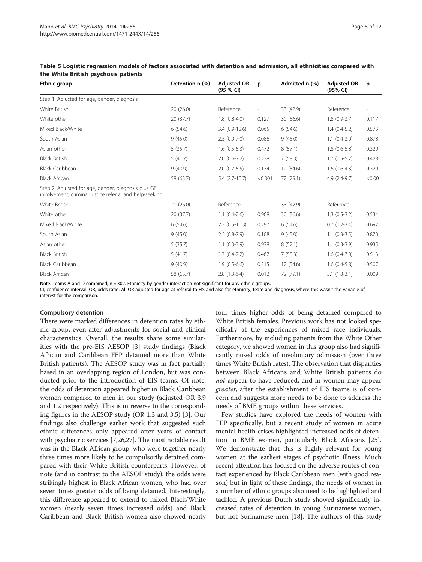| Ethnic group                                                                                                   | Detention n (%) | <b>Adjusted OR</b><br>(95 % CI) | p       | Admitted n (%) | <b>Adjusted OR</b><br>(95% CI) | p       |
|----------------------------------------------------------------------------------------------------------------|-----------------|---------------------------------|---------|----------------|--------------------------------|---------|
| Step 1. Adjusted for age, gender, diagnosis                                                                    |                 |                                 |         |                |                                |         |
| White British                                                                                                  | 20(26.0)        | Reference                       |         | 33 (42.9)      | Reference                      |         |
| White other                                                                                                    | 20 (37.7)       | $1.8(0.8-4.0)$                  | 0.127   | 30 (56.6)      | $1.8(0.9-3.7)$                 | 0.117   |
| Mixed Black/White                                                                                              | 6(54.6)         | $3.4(0.9-12.6)$                 | 0.065   | 6(54.6)        | $1.4(0.4-5.2)$                 | 0.573   |
| South Asian                                                                                                    | 9(45.0)         | $2.5(0.9-7.0)$                  | 0.086   | 9(45.0)        | $1.1(0.4-3.0)$                 | 0.878   |
| Asian other                                                                                                    | 5(35.7)         | $1.6(0.5-5.3)$                  | 0.472   | 8(57.1)        | $1.8(0.6-5.8)$                 | 0.329   |
| <b>Black British</b>                                                                                           | 5(41.7)         | $2.0(0.6-7.2)$                  | 0.278   | 7(58.3)        | $1.7(0.5-5.7)$                 | 0.428   |
| <b>Black Caribbean</b>                                                                                         | 9(40.9)         | $2.0(0.7-5.5)$                  | 0.174   | 12 (54.6)      | $1.6(0.6-4.3)$                 | 0.329   |
| <b>Black African</b>                                                                                           | 58 (63.7)       | $5.4(2.7-10.7)$                 | < 0.001 | 72 (79.1)      | $4.9(2.4-9.7)$                 | < 0.001 |
| Step 2. Adjusted for age, gender, diagnosis plus GP<br>involvement, criminal justice referral and help-seeking |                 |                                 |         |                |                                |         |
| White British                                                                                                  | 20(26.0)        | Reference                       |         | 33 (42.9)      | Reference                      |         |
| White other                                                                                                    | 20 (37.7)       | $1.1(0.4-2.6)$                  | 0.908   | 30 (56.6)      | $1.3(0.5-3.2)$                 | 0.534   |
| Mixed Black/White                                                                                              | 6(54.6)         | $2.2(0.5-10.3)$                 | 0.297   | 6(54.6)        | $0.7(0.2-3.4)$                 | 0.697   |
| South Asian                                                                                                    | 9(45.0)         | $2.5(0.8-7.9)$                  | 0.108   | 9(45.0)        | $1.1(0.3-3.5)$                 | 0.870   |
| Asian other                                                                                                    | 5(35.7)         | $1.1(0.3-3.9)$                  | 0.938   | 8(57.1)        | $1.1(0.3-3.9)$                 | 0.935   |
| <b>Black British</b>                                                                                           | 5(41.7)         | $1.7(0.4-7.2)$                  | 0.467   | 7(58.3)        | $1.6(0.4-7.0)$                 | 0.513   |
| <b>Black Caribbean</b>                                                                                         | 9(40.9)         | $1.9(0.5-6.6)$                  | 0.315   | 12 (54.6)      | $1.6(0.4-5.8)$                 | 0.507   |
| <b>Black African</b>                                                                                           | 58 (63.7)       | $2.8(1.3-6.4)$                  | 0.012   | 72 (79.1)      | $3.1(1.3-3.1)$                 | 0.009   |

<span id="page-7-0"></span>Table 5 Logistic regression models of factors associated with detention and admission, all ethnicities compared with the White British psychosis patients

Note. Teams A and D combined,  $n = 302$ . Ethnicity by gender interaction not significant for any ethnic groups

CI, confidence interval. OR, odds ratio. All OR adjusted for age at referral to EIS and also for ethnicity, team and diagnosis, where this wasn't the variable of interest for the comparison.

#### Compulsory detention

There were marked differences in detention rates by ethnic group, even after adjustments for social and clinical characteristics. Overall, the results share some similarities with the pre-EIS AESOP [[3\]](#page-10-0) study findings (Black African and Caribbean FEP detained more than White British patients). The AESOP study was in fact partially based in an overlapping region of London, but was conducted prior to the introduction of EIS teams. Of note, the odds of detention appeared higher in Black Caribbean women compared to men in our study (adjusted OR 3.9 and 1.2 respectively). This is in reverse to the corresponding figures in the AESOP study (OR 1.3 and 3.5) [[3\]](#page-10-0). Our findings also challenge earlier work that suggested such ethnic differences only appeared after years of contact with psychiatric services [\[7](#page-10-0)[,26,27](#page-11-0)]. The most notable result was in the Black African group, who were together nearly three times more likely to be compulsorily detained compared with their White British counterparts. However, of note (and in contrast to the AESOP study), the odds were strikingly highest in Black African women, who had over seven times greater odds of being detained. Interestingly, this difference appeared to extend to mixed Black/White women (nearly seven times increased odds) and Black Caribbean and Black British women also showed nearly four times higher odds of being detained compared to White British females. Previous work has not looked specifically at the experiences of mixed race individuals. Furthermore, by including patients from the White Other category, we showed women in this group also had significantly raised odds of involuntary admission (over three times White British rates). The observation that disparities between Black Africans and White British patients do not appear to have reduced, and in women may appear greater, after the establishment of EIS teams is of concern and suggests more needs to be done to address the needs of BME groups within these services.

Few studies have explored the needs of women with FEP specifically, but a recent study of women in acute mental health crises highlighted increased odds of detention in BME women, particularly Black Africans [\[25](#page-11-0)]. We demonstrate that this is highly relevant for young women at the earliest stages of psychotic illness. Much recent attention has focused on the adverse routes of contact experienced by Black Caribbean men (with good reason) but in light of these findings, the needs of women in a number of ethnic groups also need to be highlighted and tackled. A previous Dutch study showed significantly increased rates of detention in young Surinamese women, but not Surinamese men [\[18\]](#page-11-0). The authors of this study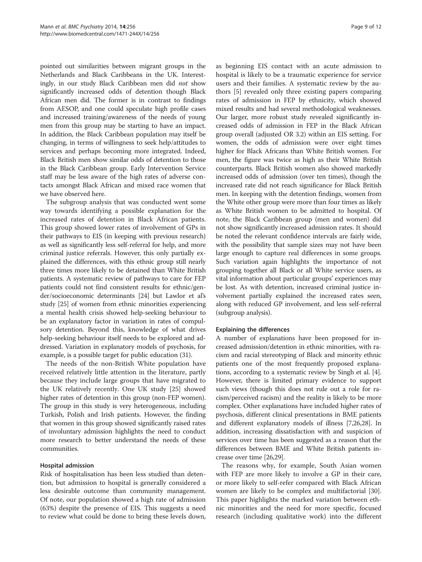pointed out similarities between migrant groups in the Netherlands and Black Caribbeans in the UK. Interestingly, in our study Black Caribbean men did not show significantly increased odds of detention though Black African men did. The former is in contrast to findings from AESOP, and one could speculate high profile cases and increased training/awareness of the needs of young men from this group may be starting to have an impact. In addition, the Black Caribbean population may itself be changing, in terms of willingness to seek help/attitudes to services and perhaps becoming more integrated. Indeed, Black British men show similar odds of detention to those in the Black Caribbean group. Early Intervention Service staff may be less aware of the high rates of adverse contacts amongst Black African and mixed race women that we have observed here.

The subgroup analysis that was conducted went some way towards identifying a possible explanation for the increased rates of detention in Black African patients. This group showed lower rates of involvement of GPs in their pathways to EIS (in keeping with previous research) as well as significantly less self-referral for help, and more criminal justice referrals. However, this only partially explained the differences, with this ethnic group still nearly three times more likely to be detained than White British patients. A systematic review of pathways to care for FEP patients could not find consistent results for ethnic/gender/socioeconomic determinants [\[24\]](#page-11-0) but Lawlor et al's study [[25](#page-11-0)] of women from ethnic minorities experiencing a mental health crisis showed help-seeking behaviour to be an explanatory factor in variation in rates of compulsory detention. Beyond this, knowledge of what drives help-seeking behaviour itself needs to be explored and addressed. Variation in explanatory models of psychosis, for example, is a possible target for public education (31).

The needs of the non-British White population have received relatively little attention in the literature, partly because they include large groups that have migrated to the UK relatively recently. One UK study [\[25](#page-11-0)] showed higher rates of detention in this group (non-FEP women). The group in this study is very heterogeneous, including Turkish, Polish and Irish patients. However, the finding that women in this group showed significantly raised rates of involuntary admission highlights the need to conduct more research to better understand the needs of these communities.

## Hospital admission

Risk of hospitalisation has been less studied than detention, but admission to hospital is generally considered a less desirable outcome than community management. Of note, our population showed a high rate of admission (63%) despite the presence of EIS. This suggests a need to review what could be done to bring these levels down,

as beginning EIS contact with an acute admission to hospital is likely to be a traumatic experience for service users and their families. A systematic review by the authors [[5\]](#page-10-0) revealed only three existing papers comparing rates of admission in FEP by ethnicity, which showed mixed results and had several methodological weaknesses. Our larger, more robust study revealed significantly increased odds of admission in FEP in the Black African group overall (adjusted OR 3.2) within an EIS setting. For women, the odds of admission were over eight times higher for Black Africans than White British women. For men, the figure was twice as high as their White British counterparts. Black British women also showed markedly increased odds of admission (over ten times), though the increased rate did not reach significance for Black British men. In keeping with the detention findings, women from the White other group were more than four times as likely as White British women to be admitted to hospital. Of note, the Black Caribbean group (men and women) did not show significantly increased admission rates. It should be noted the relevant confidence intervals are fairly wide, with the possibility that sample sizes may not have been large enough to capture real differences in some groups. Such variation again highlights the importance of not grouping together all Black or all White service users, as vital information about particular groups' experiences may be lost. As with detention, increased criminal justice involvement partially explained the increased rates seen, along with reduced GP involvement, and less self-referral (subgroup analysis).

#### Explaining the differences

A number of explanations have been proposed for increased admission/detention in ethnic minorities, with racism and racial stereotyping of Black and minority ethnic patients one of the most frequently proposed explanations, according to a systematic review by Singh et al. [[4](#page-10-0)]. However, there is limited primary evidence to support such views (though this does not rule out a role for racism/perceived racism) and the reality is likely to be more complex. Other explanations have included higher rates of psychosis, different clinical presentations in BME patients and different explanatory models of illness [\[7,](#page-10-0)[26](#page-11-0),[28](#page-11-0)]. In addition, increasing dissatisfaction with and suspicion of services over time has been suggested as a reason that the differences between BME and White British patients increase over time [[26,29\]](#page-11-0).

The reasons why, for example, South Asian women with FEP are more likely to involve a GP in their care, or more likely to self-refer compared with Black African women are likely to be complex and multifactorial [\[30](#page-11-0)]. This paper highlights the marked variation between ethnic minorities and the need for more specific, focused research (including qualitative work) into the different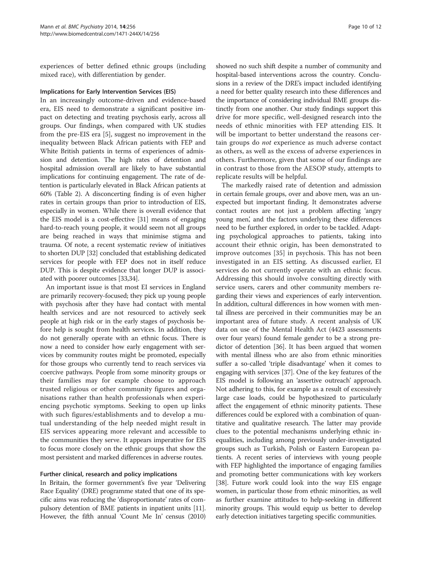experiences of better defined ethnic groups (including mixed race), with differentiation by gender.

#### Implications for Early Intervention Services (EIS)

In an increasingly outcome-driven and evidence-based era, EIS need to demonstrate a significant positive impact on detecting and treating psychosis early, across all groups. Our findings, when compared with UK studies from the pre-EIS era [\[5](#page-10-0)], suggest no improvement in the inequality between Black African patients with FEP and White British patients in terms of experiences of admission and detention. The high rates of detention and hospital admission overall are likely to have substantial implications for continuing engagement. The rate of detention is particularly elevated in Black African patients at 60% (Table [2\)](#page-4-0). A disconcerting finding is of even higher rates in certain groups than prior to introduction of EIS, especially in women. While there is overall evidence that the EIS model is a cost-effective [\[31\]](#page-11-0) means of engaging hard-to-reach young people, it would seem not all groups are being reached in ways that minimise stigma and trauma. Of note, a recent systematic review of initiatives to shorten DUP [[32](#page-11-0)] concluded that establishing dedicated services for people with FEP does not in itself reduce DUP. This is despite evidence that longer DUP is associated with poorer outcomes [\[33,34](#page-11-0)].

An important issue is that most EI services in England are primarily recovery-focused; they pick up young people with psychosis after they have had contact with mental health services and are not resourced to actively seek people at high risk or in the early stages of psychosis before help is sought from health services. In addition, they do not generally operate with an ethnic focus. There is now a need to consider how early engagement with services by community routes might be promoted, especially for those groups who currently tend to reach services via coercive pathways. People from some minority groups or their families may for example choose to approach trusted religious or other community figures and organisations rather than health professionals when experiencing psychotic symptoms. Seeking to open up links with such figures/establishments and to develop a mutual understanding of the help needed might result in EIS services appearing more relevant and accessible to the communities they serve. It appears imperative for EIS to focus more closely on the ethnic groups that show the most persistent and marked differences in adverse routes.

## Further clinical, research and policy implications

In Britain, the former government's five year 'Delivering Race Equality' (DRE) programme stated that one of its specific aims was reducing the 'disproportionate' rates of compulsory detention of BME patients in inpatient units [[11](#page-11-0)]. However, the fifth annual 'Count Me In' census (2010)

showed no such shift despite a number of community and hospital-based interventions across the country. Conclusions in a review of the DRE's impact included identifying a need for better quality research into these differences and the importance of considering individual BME groups distinctly from one another. Our study findings support this drive for more specific, well-designed research into the needs of ethnic minorities with FEP attending EIS. It will be important to better understand the reasons certain groups do not experience as much adverse contact as others, as well as the excess of adverse experiences in others. Furthermore, given that some of our findings are in contrast to those from the AESOP study, attempts to replicate results will be helpful.

The markedly raised rate of detention and admission in certain female groups, over and above men, was an unexpected but important finding. It demonstrates adverse contact routes are not just a problem affecting 'angry young men', and the factors underlying these differences need to be further explored, in order to be tackled. Adapting psychological approaches to patients, taking into account their ethnic origin, has been demonstrated to improve outcomes [\[35](#page-11-0)] in psychosis. This has not been investigated in an EIS setting. As discussed earlier, EI services do not currently operate with an ethnic focus. Addressing this should involve consulting directly with service users, carers and other community members regarding their views and experiences of early intervention. In addition, cultural differences in how women with mental illness are perceived in their communities may be an important area of future study. A recent analysis of UK data on use of the Mental Health Act (4423 assessments over four years) found female gender to be a strong predictor of detention [\[36\]](#page-11-0). It has been argued that women with mental illness who are also from ethnic minorities suffer a so-called 'triple disadvantage' when it comes to engaging with services [[37](#page-11-0)]. One of the key features of the EIS model is following an 'assertive outreach' approach. Not adhering to this, for example as a result of excessively large case loads, could be hypothesized to particularly affect the engagement of ethnic minority patients. These differences could be explored with a combination of quantitative and qualitative research. The latter may provide clues to the potential mechanisms underlying ethnic inequalities, including among previously under-investigated groups such as Turkish, Polish or Eastern European patients. A recent series of interviews with young people with FEP highlighted the importance of engaging families and promoting better communications with key workers [[38](#page-11-0)]. Future work could look into the way EIS engage women, in particular those from ethnic minorities, as well as further examine attitudes to help-seeking in different minority groups. This would equip us better to develop early detection initiatives targeting specific communities.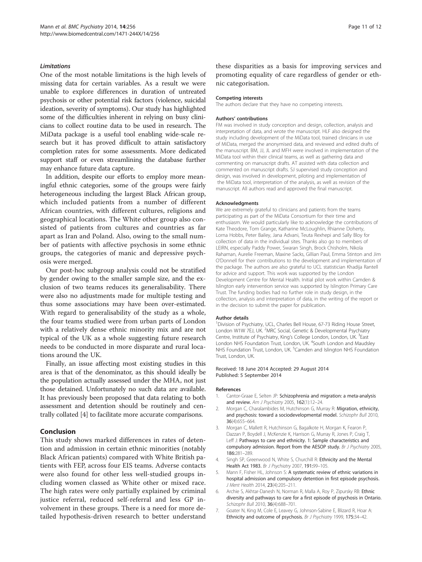#### <span id="page-10-0"></span>**Limitations**

One of the most notable limitations is the high levels of missing data for certain variables. As a result we were unable to explore differences in duration of untreated psychosis or other potential risk factors (violence, suicidal ideation, severity of symptoms). Our study has highlighted some of the difficulties inherent in relying on busy clinicians to collect routine data to be used in research. The MiData package is a useful tool enabling wide-scale research but it has proved difficult to attain satisfactory completion rates for some assessments. More dedicated support staff or even streamlining the database further may enhance future data capture.

In addition, despite our efforts to employ more meaningful ethnic categories, some of the groups were fairly heterogeneous including the largest Black African group, which included patients from a number of different African countries, with different cultures, religions and geographical locations. The White other group also consisted of patients from cultures and countries as far apart as Iran and Poland. Also, owing to the small number of patients with affective psychosis in some ethnic groups, the categories of manic and depressive psychosis were merged.

Our post-hoc subgroup analysis could not be stratified by gender owing to the smaller sample size, and the exclusion of two teams reduces its generalisability. There were also no adjustments made for multiple testing and thus some associations may have been over-estimated. With regard to generalisability of the study as a whole, the four teams studied were from urban parts of London with a relatively dense ethnic minority mix and are not typical of the UK as a whole suggesting future research needs to be conducted in more disparate and rural locations around the UK.

Finally, an issue affecting most existing studies in this area is that of the denominator, as this should ideally be the population actually assessed under the MHA, not just those detained. Unfortunately no such data are available. It has previously been proposed that data relating to both assessment and detention should be routinely and centrally collated [4] to facilitate more accurate comparisons.

#### Conclusion

This study shows marked differences in rates of detention and admission in certain ethnic minorities (notably Black African patients) compared with White British patients with FEP, across four EIS teams. Adverse contacts were also found for other less well-studied groups including women classed as White other or mixed race. The high rates were only partially explained by criminal justice referral, reduced self-referral and less GP involvement in these groups. There is a need for more detailed hypothesis-driven research to better understand

these disparities as a basis for improving services and promoting equality of care regardless of gender or ethnic categorisation.

#### Competing interests

The authors declare that they have no competing interests.

#### Authors' contributions

FM was involved in study conception and design, collection, analysis and interpretation of data, and wrote the manuscript. HLF also designed the study including development of the MiData tool, trained clinicians in use of MiData, merged the anonymised data, and reviewed and edited drafts of the manuscript. BM, JJ, JL and MFH were involved in implementation of the MiData tool within their clinical teams, as well as gathering data and commenting on manuscript drafts. AT assisted with data collection and commented on manuscript drafts. SJ supervised study conception and design, was involved in development, piloting and implementation of the MiData tool, interpretation of the analysis, as well as revision of the manuscript. All authors read and approved the final manuscript.

#### Acknowledgments

We are extremely grateful to clinicians and patients from the teams participating as part of the MiData Consortium for their time and enthusiasm. We would particularly like to acknowledge the contributions of Kate Theodore, Tom Grange, Katharine McLoughlin, Rhianne Doherty, Lorna Hobbs, Peter Bailey, Jana Advani, Teuta Rexhepi and Sally Bloy for collection of data in the individual sites. Thanks also go to members of LEIRN, especially Paddy Power, Swaran Singh, Brock Chisholm, Nikola Rahaman, Aurelie Freeman, Maxine Sacks, Gillian Paul, Emma Stinton and Jim O'Donnell for their contributions to the development and implementation of the package. The authors are also grateful to UCL statistician Khadija Rantell for advice and support. This work was supported by the London Development Centre for Mental Health. Initial pilot work within Camden & Islington early intervention service was supported by Islington Primary Care Trust. The funding bodies had no further role in study design, in the collection, analysis and interpretation of data, in the writing of the report or in the decision to submit the paper for publication.

#### Author details

<sup>1</sup> Division of Psychiatry, UCL, Charles Bell House, 67-73 Riding House Street, London W1W 7EJ, UK. <sup>2</sup>MRC Social, Genetic & Developmental Psychiatry Centre, Institute of Psychiatry, King's College London, London, UK. <sup>3</sup>East London NHS Foundation Trust, London, UK. <sup>4</sup>South London and Maudsley NHS Foundation Trust, London, UK.<sup>5</sup> Camden and Islington NHS Foundation Trust, London, UK.

#### Received: 18 June 2014 Accepted: 29 August 2014 Published: 5 September 2014

#### References

- Cantor-Graae E, Selten JP: Schizophrenia and migration: a meta-analysis and review. Am J Psychiatry 2005, 162(1):12-24.
- 2. Morgan C, Charalambides M, Hutchinson G, Murray R: Migration, ethnicity, and psychosis: toward a sociodevelopmental model. Schizophr Bull 2010, 36(4):655–664.
- 3. Morgan C, Mallett R, Hutchinson G, Bagalkote H, Morgan K, Fearon P, Dazzan P, Boydell J, McKenzie K, Harrison G, Murray R, Jones P, Craig T, Leff J: Pathways to care and ethnicity. 1: Sample characteristics and compulsory admission. Report from the AESOP study. Br J Psychiatry 2005, 186:281–289.
- 4. Singh SP, Greenwood N, White S, Churchill R: Ethnicity and the Mental Health Act 1983. Br J Psychiatry 2007, 191:99–105.
- 5. Mann F, Fisher HL, Johnson S: A systematic review of ethnic variations in hospital admission and compulsory detention in first episode psychosis. J Ment Health 2014, 23(4):205–211.
- 6. Archie S, Akhtar-Danesh N, Norman R, Malla A, Roy P, Zipursky RB: Ethnic diversity and pathways to care for a first episode of psychosis in Ontario. Schizophr Bull 2010, 36(4):688–701.
- 7. Goater N, King M, Cole E, Leavey G, Johnson-Sabine E, Blizard R, Hoar A: Ethnicity and outcome of psychosis. Br J Psychiatry 1999, 175:34-42.